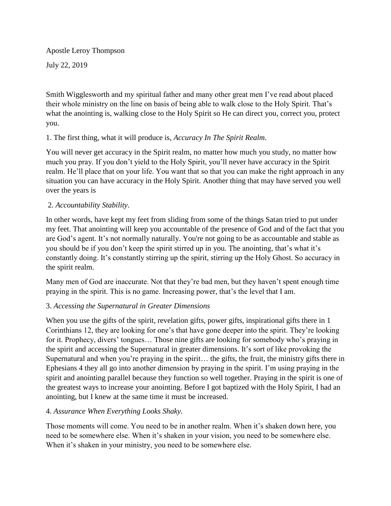Apostle Leroy Thompson July 22, 2019

Smith Wigglesworth and my spiritual father and many other great men I've read about placed their whole ministry on the line on basis of being able to walk close to the Holy Spirit. That's what the anointing is, walking close to the Holy Spirit so He can direct you, correct you, protect you.

# 1. The first thing, what it will produce is, *Accuracy In The Spirit Realm*.

You will never get accuracy in the Spirit realm, no matter how much you study, no matter how much you pray. If you don't yield to the Holy Spirit, you'll never have accuracy in the Spirit realm. He'll place that on your life. You want that so that you can make the right approach in any situation you can have accuracy in the Holy Spirit. Another thing that may have served you well over the years is

# 2. *Accountability Stability*.

In other words, have kept my feet from sliding from some of the things Satan tried to put under my feet. That anointing will keep you accountable of the presence of God and of the fact that you are God's agent. It's not normally naturally. You're not going to be as accountable and stable as you should be if you don't keep the spirit stirred up in you. The anointing, that's what it's constantly doing. It's constantly stirring up the spirit, stirring up the Holy Ghost. So accuracy in the spirit realm.

Many men of God are inaccurate. Not that they're bad men, but they haven't spent enough time praying in the spirit. This is no game. Increasing power, that's the level that I am.

# 3. *Accessing the Supernatural in Greater Dimensions*

When you use the gifts of the spirit, revelation gifts, power gifts, inspirational gifts there in 1 Corinthians 12, they are looking for one's that have gone deeper into the spirit. They're looking for it. Prophecy, divers' tongues… Those nine gifts are looking for somebody who's praying in the spirit and accessing the Supernatural in greater dimensions. It's sort of like provoking the Supernatural and when you're praying in the spirit… the gifts, the fruit, the ministry gifts there in Ephesians 4 they all go into another dimension by praying in the spirit. I'm using praying in the spirit and anointing parallel because they function so well together. Praying in the spirit is one of the greatest ways to increase your anointing. Before I got baptized with the Holy Spirit, I had an anointing, but I knew at the same time it must be increased.

## 4. *Assurance When Everything Looks Shaky.*

Those moments will come. You need to be in another realm. When it's shaken down here, you need to be somewhere else. When it's shaken in your vision, you need to be somewhere else. When it's shaken in your ministry, you need to be somewhere else.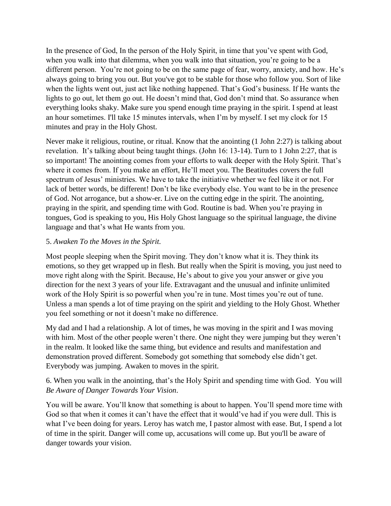In the presence of God, In the person of the Holy Spirit, in time that you've spent with God, when you walk into that dilemma, when you walk into that situation, you're going to be a different person. You're not going to be on the same page of fear, worry, anxiety, and how. He's always going to bring you out. But you've got to be stable for those who follow you. Sort of like when the lights went out, just act like nothing happened. That's God's business. If He wants the lights to go out, let them go out. He doesn't mind that, God don't mind that. So assurance when everything looks shaky. Make sure you spend enough time praying in the spirit. I spend at least an hour sometimes. I'll take 15 minutes intervals, when I'm by myself. I set my clock for 15 minutes and pray in the Holy Ghost.

Never make it religious, routine, or ritual. Know that the anointing (1 John 2:27) is talking about revelation. It's talking about being taught things. (John 16: 13-14). Turn to 1 John 2:27, that is so important! The anointing comes from your efforts to walk deeper with the Holy Spirit. That's where it comes from. If you make an effort, He'll meet you. The Beatitudes covers the full spectrum of Jesus' ministries. We have to take the initiative whether we feel like it or not. For lack of better words, be different! Don't be like everybody else. You want to be in the presence of God. Not arrogance, but a show-er. Live on the cutting edge in the spirit. The anointing, praying in the spirit, and spending time with God. Routine is bad. When you're praying in tongues, God is speaking to you, His Holy Ghost language so the spiritual language, the divine language and that's what He wants from you.

## 5. *Awaken To the Moves in the Spirit.*

Most people sleeping when the Spirit moving. They don't know what it is. They think its emotions, so they get wrapped up in flesh. But really when the Spirit is moving, you just need to move right along with the Spirit. Because, He's about to give you your answer or give you direction for the next 3 years of your life. Extravagant and the unusual and infinite unlimited work of the Holy Spirit is so powerful when you're in tune. Most times you're out of tune. Unless a man spends a lot of time praying on the spirit and yielding to the Holy Ghost. Whether you feel something or not it doesn't make no difference.

My dad and I had a relationship. A lot of times, he was moving in the spirit and I was moving with him. Most of the other people weren't there. One night they were jumping but they weren't in the realm. It looked like the same thing, but evidence and results and manifestation and demonstration proved different. Somebody got something that somebody else didn't get. Everybody was jumping. Awaken to moves in the spirit.

6. When you walk in the anointing, that's the Holy Spirit and spending time with God. You will *Be Aware of Danger Towards Your Vision*.

You will be aware. You'll know that something is about to happen. You'll spend more time with God so that when it comes it can't have the effect that it would've had if you were dull. This is what I've been doing for years. Leroy has watch me, I pastor almost with ease. But, I spend a lot of time in the spirit. Danger will come up, accusations will come up. But you'll be aware of danger towards your vision.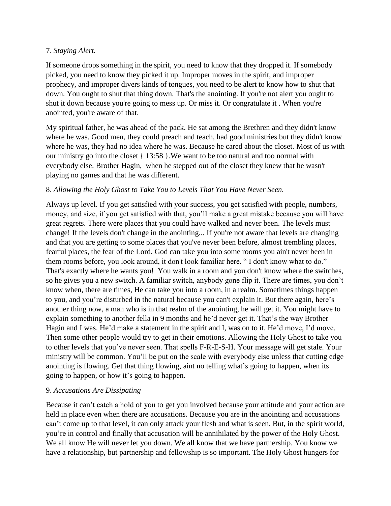#### 7. *Staying Alert.*

If someone drops something in the spirit, you need to know that they dropped it. If somebody picked, you need to know they picked it up. Improper moves in the spirit, and improper prophecy, and improper divers kinds of tongues, you need to be alert to know how to shut that down. You ought to shut that thing down. That's the anointing. If you're not alert you ought to shut it down because you're going to mess up. Or miss it. Or congratulate it . When you're anointed, you're aware of that.

My spiritual father, he was ahead of the pack. He sat among the Brethren and they didn't know where he was. Good men, they could preach and teach, had good ministries but they didn't know where he was, they had no idea where he was. Because he cared about the closet. Most of us with our ministry go into the closet { 13:58 }.We want to be too natural and too normal with everybody else. Brother Hagin, when he stepped out of the closet they knew that he wasn't playing no games and that he was different.

## 8. *Allowing the Holy Ghost to Take You to Levels That You Have Never Seen.*

Always up level. If you get satisfied with your success, you get satisfied with people, numbers, money, and size, if you get satisfied with that, you'll make a great mistake because you will have great regrets. There were places that you could have walked and never been. The levels must change! If the levels don't change in the anointing... If you're not aware that levels are changing and that you are getting to some places that you've never been before, almost trembling places, fearful places, the fear of the Lord. God can take you into some rooms you ain't never been in them rooms before, you look around, it don't look familiar here. " I don't know what to do." That's exactly where he wants you! You walk in a room and you don't know where the switches, so he gives you a new switch. A familiar switch, anybody gone flip it. There are times, you don't know when, there are times, He can take you into a room, in a realm. Sometimes things happen to you, and you're disturbed in the natural because you can't explain it. But there again, here's another thing now, a man who is in that realm of the anointing, he will get it. You might have to explain something to another fella in 9 months and he'd never get it. That's the way Brother Hagin and I was. He'd make a statement in the spirit and I, was on to it. He'd move, I'd move. Then some other people would try to get in their emotions. Allowing the Holy Ghost to take you to other levels that you've never seen. That spells F-R-E-S-H. Your message will get stale. Your ministry will be common. You'll be put on the scale with everybody else unless that cutting edge anointing is flowing. Get that thing flowing, aint no telling what's going to happen, when its going to happen, or how it's going to happen.

## 9. *Accusations Are Dissipating*

Because it can't catch a hold of you to get you involved because your attitude and your action are held in place even when there are accusations. Because you are in the anointing and accusations can't come up to that level, it can only attack your flesh and what is seen. But, in the spirit world, you're in control and finally that accusation will be annihilated by the power of the Holy Ghost. We all know He will never let you down. We all know that we have partnership. You know we have a relationship, but partnership and fellowship is so important. The Holy Ghost hungers for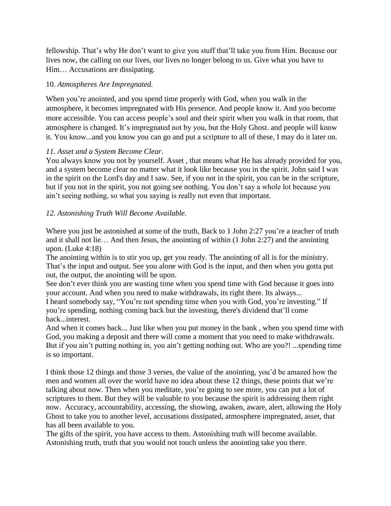fellowship. That's why He don't want to give you stuff that'll take you from Him. Because our lives now, the calling on our lives, our lives no longer belong to us. Give what you have to Him… Accusations are dissipating.

#### 10. *Atmospheres Are Impregnated.*

When you're anointed, and you spend time properly with God, when you walk in the atmosphere, it becomes impregnated with His presence. And people know it. And you become more accessible. You can access people's soul and their spirit when you walk in that room, that atmosphere is changed. It's impregnated not by you, but the Holy Ghost. and people will know it. You know...and you know you can go and put a scripture to all of these, I may do it later on.

## *11. Asset and a System Become Clear*.

You always know you not by yourself. Asset , that means what He has already provided for you, and a system become clear no matter what it look like because you in the spirit. John said I was in the spirit on the Lord's day and I saw. See, if you not in the spirit, you can be in the scripture, but if you not in the spirit, you not going see nothing. You don't say a whole lot because you ain't seeing nothing, so what you saying is really not even that important.

#### *12. Astonishing Truth Will Become Available.*

Where you just be astonished at some of the truth, Back to 1 John 2:27 you're a teacher of truth and it shall not lie… And then Jesus, the anointing of within (1 John 2:27) and the anointing upon. (Luke 4:18)

The anointing within is to stir you up, get you ready. The anointing of all is for the ministry. That's the input and output. See you alone with God is the input, and then when you gotta put out, the output, the anointing will be upon.

See don't ever think you are wasting time when you spend time with God because it goes into your account. And when you need to make withdrawals, its right there. Its always... I heard somebody say, "You're not spending time when you with God, you're investing." If you're spending, nothing coming back but the investing, there's dividend that'll come back...interest.

And when it comes back... Just like when you put money in the bank , when you spend time with God, you making a deposit and there will come a moment that you need to make withdrawals. But if you ain't putting nothing in, you ain't getting nothing out. Who are you?! ...spending time is so important.

I think those 12 things and those 3 verses, the value of the anointing, you'd be amazed how the men and women all over the world have no idea about these 12 things, these points that we're talking about now. Then when you meditate, you're going to see more, you can put a lot of scriptures to them. But they will be valuable to you because the spirit is addressing them right now. Accuracy, accountability, accessing, the showing, awaken, aware, alert, allowing the Holy Ghost to take you to another level, accusations dissipated, atmosphere impregnated, asset, that has all been available to you.

The gifts of the spirit, you have access to them. Astonishing truth will become available. Astonishing truth, truth that you would not touch unless the anointing take you there.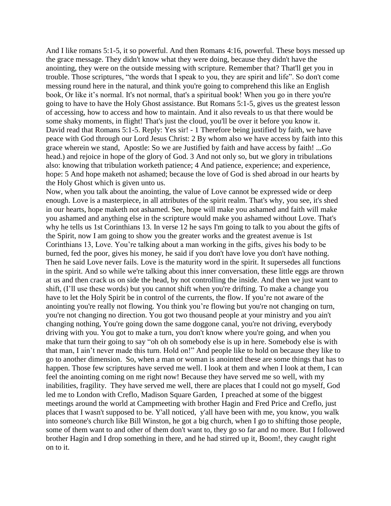And I like romans 5:1-5, it so powerful. And then Romans 4:16, powerful. These boys messed up the grace message. They didn't know what they were doing, because they didn't have the anointing, they were on the outside messing with scripture. Remember that? That'll get you in trouble. Those scriptures, "the words that I speak to you, they are spirit and life". So don't come messing round here in the natural, and think you're going to comprehend this like an English book, Or like it's normal. It's not normal, that's a spiritual book! When you go in there you're going to have to have the Holy Ghost assistance. But Romans 5:1-5, gives us the greatest lesson of accessing, how to access and how to maintain. And it also reveals to us that there would be some shaky moments, in flight! That's just the cloud, you'll be over it before you know it. David read that Romans 5:1-5. Reply: Yes sir! - 1 Therefore being justified by faith, we have peace with God through our Lord Jesus Christ: 2 By whom also we have access by faith into this grace wherein we stand, Apostle: So we are Justified by faith and have access by faith! ...Go head.) and rejoice in hope of the glory of God. 3 And not only so, but we glory in tribulations also: knowing that tribulation worketh patience; 4 And patience, experience; and experience, hope: 5 And hope maketh not ashamed; because the love of God is shed abroad in our hearts by the Holy Ghost which is given unto us.

Now, when you talk about the anointing, the value of Love cannot be expressed wide or deep enough. Love is a masterpiece, in all attributes of the spirit realm. That's why, you see, it's shed in our hearts, hope maketh not ashamed. See, hope will make you ashamed and faith will make you ashamed and anything else in the scripture would make you ashamed without Love. That's why he tells us 1st Corinthians 13. In verse 12 he says I'm going to talk to you about the gifts of the Spirit, now I am going to show you the greater works and the greatest avenue is 1st Corinthians 13, Love. You're talking about a man working in the gifts, gives his body to be burned, fed the poor, gives his money, he said if you don't have love you don't have nothing. Then he said Love never fails. Love is the maturity word in the spirit. It supersedes all functions in the spirit. And so while we're talking about this inner conversation, these little eggs are thrown at us and then crack us on side the head, by not controlling the inside. And then we just want to shift, (I'll use these words) but you cannot shift when you're drifting. To make a change you have to let the Holy Spirit be in control of the currents, the flow. If you're not aware of the anointing you're really not flowing. You think you're flowing but you're not changing on turn, you're not changing no direction. You got two thousand people at your ministry and you ain't changing nothing, You're going down the same doggone canal, you're not driving, everybody driving with you. You got to make a turn, you don't know where you're going, and when you make that turn their going to say "oh oh oh somebody else is up in here. Somebody else is with that man, I ain't never made this turn. Hold on!" And people like to hold on because they like to go to another dimension. So, when a man or woman is anointed these are some things that has to happen. Those few scriptures have served me well. I look at them and when I look at them, I can feel the anointing coming on me right now! Because they have served me so well, with my inabilities, fragility. They have served me well, there are places that I could not go myself, God led me to London with Creflo, Madison Square Garden, I preached at some of the biggest meetings around the world at Campmeeting with brother Hagin and Fred Price and Creflo, just places that I wasn't supposed to be. Y'all noticed, y'all have been with me, you know, you walk into someone's church like Bill Winston, he got a big church, when I go to shifting those people, some of them want to and other of them don't want to, they go so far and no more. But I followed brother Hagin and I drop something in there, and he had stirred up it, Boom!, they caught right on to it.